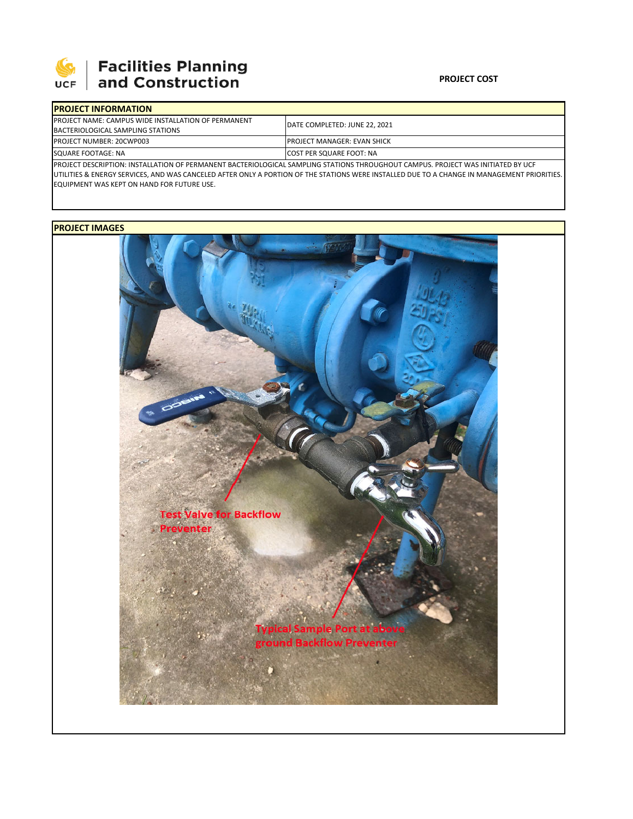

## **Facilities Planning**<br>and Construction

| <b>IPROJECT INFORMATION</b>                                 |                                                                                                                                                 |  |  |  |
|-------------------------------------------------------------|-------------------------------------------------------------------------------------------------------------------------------------------------|--|--|--|
| <b>IPROJECT NAME: CAMPUS WIDE INSTALLATION OF PERMANENT</b> | DATE COMPLETED: JUNE 22, 2021                                                                                                                   |  |  |  |
| BACTERIOLOGICAL SAMPLING STATIONS                           |                                                                                                                                                 |  |  |  |
| <b>PROJECT NUMBER: 20CWP003</b>                             | <b>IPROJECT MANAGER: EVAN SHICK</b>                                                                                                             |  |  |  |
| SQUARE FOOTAGE: NA                                          | <b>ICOST PER SQUARE FOOT: NA</b>                                                                                                                |  |  |  |
|                                                             | <b>IDDOIFCT DECCRIPTION, INCTALLATION OF REDAANIENT DACTERIOLOGICAL CANABLINIC CTATIONS TURQUCULOUT CANABLIC, BROJECT WAS INITIATED BY LICE</b> |  |  |  |

PROJECT DESCRIPTION: INSTALLATION OF PERMANENT BACTERIOLOGICAL SAMPLING STATIONS THROUGHOUT CAMPUS. PROJECT WAS INITIATED BY UCF UTILITIES & ENERGY SERVICES, AND WAS CANCELED AFTER ONLY A PORTION OF THE STATIONS WERE INSTALLED DUE TO A CHANGE IN MANAGEMENT PRIORITIES. EQUIPMENT WAS KEPT ON HAND FOR FUTURE USE.

## **PROJECT IMAGES**